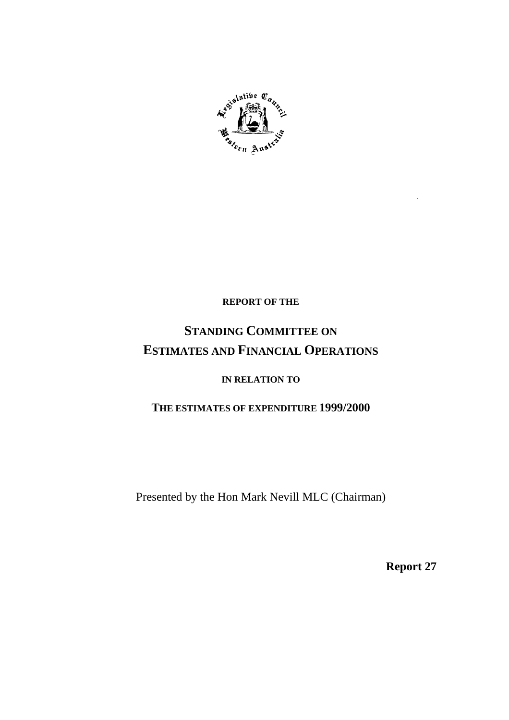

## **REPORT OF THE**

# **STANDING COMMITTEE ON ESTIMATES AND FINANCIAL OPERATIONS**

## **IN RELATION TO**

# **THE ESTIMATES OF EXPENDITURE 1999/2000**

Presented by the Hon Mark Nevill MLC (Chairman)

**Report 27**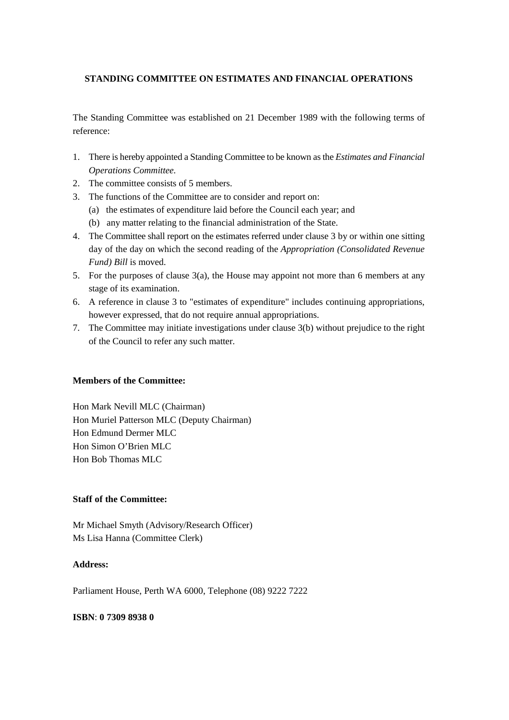## **STANDING COMMITTEE ON ESTIMATES AND FINANCIAL OPERATIONS**

The Standing Committee was established on 21 December 1989 with the following terms of reference:

- 1. There is hereby appointed a Standing Committee to be known as the *Estimates and Financial Operations Committee.*
- 2. The committee consists of 5 members.
- 3. The functions of the Committee are to consider and report on:
	- (a) the estimates of expenditure laid before the Council each year; and
	- (b) any matter relating to the financial administration of the State.
- 4. The Committee shall report on the estimates referred under clause 3 by or within one sitting day of the day on which the second reading of the *Appropriation (Consolidated Revenue Fund) Bill* is moved.
- 5. For the purposes of clause  $3(a)$ , the House may appoint not more than 6 members at any stage of its examination.
- 6. A reference in clause 3 to "estimates of expenditure" includes continuing appropriations, however expressed, that do not require annual appropriations.
- 7. The Committee may initiate investigations under clause 3(b) without prejudice to the right of the Council to refer any such matter.

## **Members of the Committee:**

Hon Mark Nevill MLC (Chairman) Hon Muriel Patterson MLC (Deputy Chairman) Hon Edmund Dermer MLC Hon Simon O'Brien MLC Hon Bob Thomas MLC

## **Staff of the Committee:**

Mr Michael Smyth (Advisory/Research Officer) Ms Lisa Hanna (Committee Clerk)

## **Address:**

Parliament House, Perth WA 6000, Telephone (08) 9222 7222

#### **ISBN**: **0 7309 8938 0**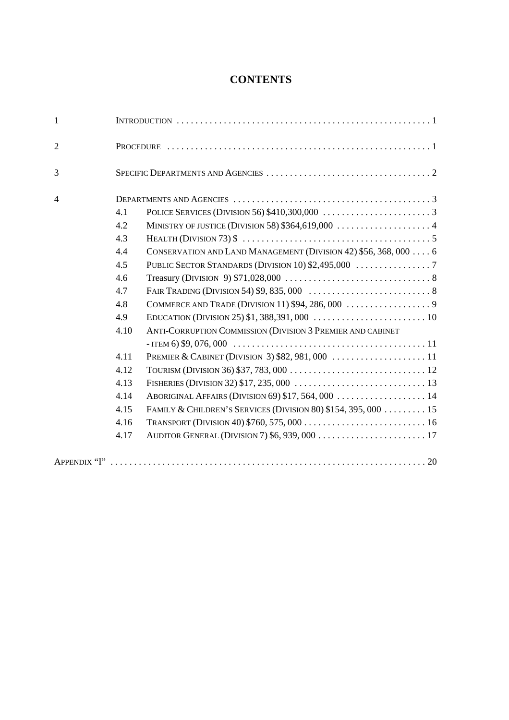# **CONTENTS**

| 1              |      |                                                                 |  |  |  |  |
|----------------|------|-----------------------------------------------------------------|--|--|--|--|
| $\overline{2}$ |      |                                                                 |  |  |  |  |
| 3              |      |                                                                 |  |  |  |  |
| $\overline{4}$ |      |                                                                 |  |  |  |  |
|                | 4.1  |                                                                 |  |  |  |  |
|                | 4.2  |                                                                 |  |  |  |  |
|                | 4.3  |                                                                 |  |  |  |  |
|                | 4.4  | CONSERVATION AND LAND MANAGEMENT (DIVISION 42) \$56, 368, 000 6 |  |  |  |  |
|                | 4.5  |                                                                 |  |  |  |  |
|                | 4.6  |                                                                 |  |  |  |  |
|                | 4.7  |                                                                 |  |  |  |  |
|                | 4.8  |                                                                 |  |  |  |  |
|                | 4.9  |                                                                 |  |  |  |  |
|                | 4.10 | ANTI-CORRUPTION COMMISSION (DIVISION 3 PREMIER AND CABINET      |  |  |  |  |
|                |      |                                                                 |  |  |  |  |
|                | 4.11 |                                                                 |  |  |  |  |
|                | 4.12 |                                                                 |  |  |  |  |
|                | 4.13 |                                                                 |  |  |  |  |
|                | 4.14 |                                                                 |  |  |  |  |
|                | 4.15 | FAMILY & CHILDREN'S SERVICES (DIVISION 80) \$154, 395, 000 15   |  |  |  |  |
|                | 4.16 |                                                                 |  |  |  |  |
|                | 4.17 |                                                                 |  |  |  |  |
|                |      |                                                                 |  |  |  |  |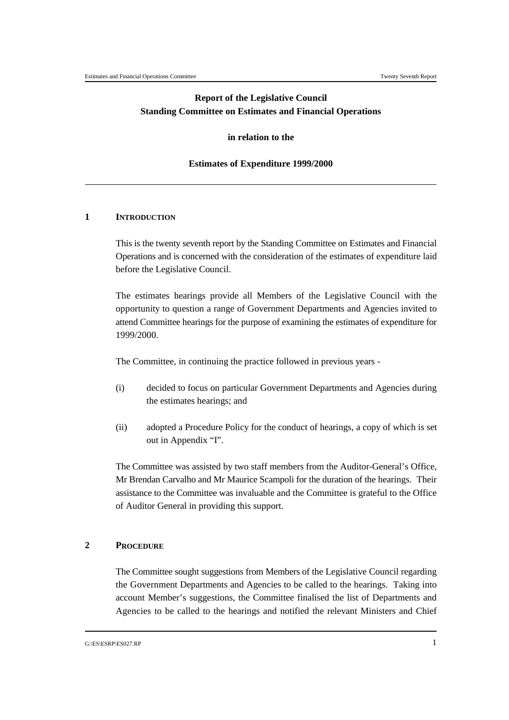## **Report of the Legislative Council Standing Committee on Estimates and Financial Operations**

#### **in relation to the**

#### **Estimates of Expenditure 1999/2000**

#### **1 INTRODUCTION**

This is the twenty seventh report by the Standing Committee on Estimates and Financial Operations and is concerned with the consideration of the estimates of expenditure laid before the Legislative Council.

The estimates hearings provide all Members of the Legislative Council with the opportunity to question a range of Government Departments and Agencies invited to attend Committee hearings for the purpose of examining the estimates of expenditure for 1999/2000.

The Committee, in continuing the practice followed in previous years -

- (i) decided to focus on particular Government Departments and Agencies during the estimates hearings; and
- (ii) adopted a Procedure Policy for the conduct of hearings, a copy of which is set out in Appendix "I".

The Committee was assisted by two staff members from the Auditor-General's Office, Mr Brendan Carvalho and Mr Maurice Scampoli for the duration of the hearings. Their assistance to the Committee was invaluable and the Committee is grateful to the Office of Auditor General in providing this support.

#### **2 PROCEDURE**

The Committee sought suggestions from Members of the Legislative Council regarding the Government Departments and Agencies to be called to the hearings. Taking into account Member's suggestions, the Committee finalised the list of Departments and Agencies to be called to the hearings and notified the relevant Ministers and Chief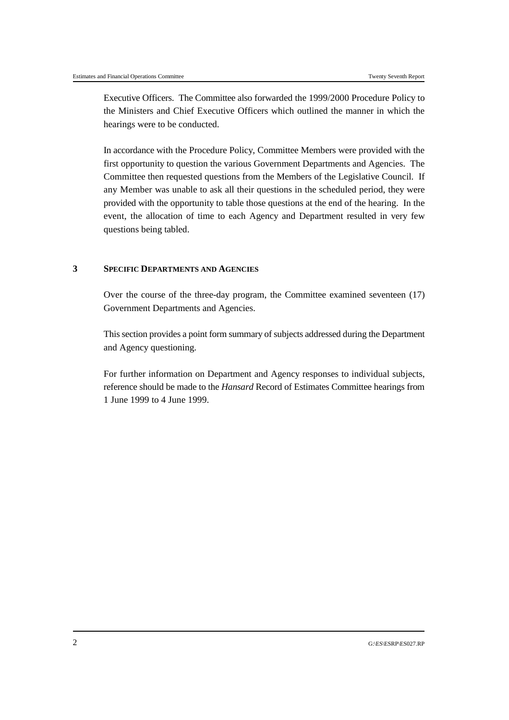Executive Officers. The Committee also forwarded the 1999/2000 Procedure Policy to the Ministers and Chief Executive Officers which outlined the manner in which the hearings were to be conducted.

In accordance with the Procedure Policy, Committee Members were provided with the first opportunity to question the various Government Departments and Agencies. The Committee then requested questions from the Members of the Legislative Council. If any Member was unable to ask all their questions in the scheduled period, they were provided with the opportunity to table those questions at the end of the hearing. In the event, the allocation of time to each Agency and Department resulted in very few questions being tabled.

## **3 SPECIFIC DEPARTMENTS AND AGENCIES**

Over the course of the three-day program, the Committee examined seventeen (17) Government Departments and Agencies.

This section provides a point form summary of subjects addressed during the Department and Agency questioning.

For further information on Department and Agency responses to individual subjects, reference should be made to the *Hansard* Record of Estimates Committee hearings from 1 June 1999 to 4 June 1999.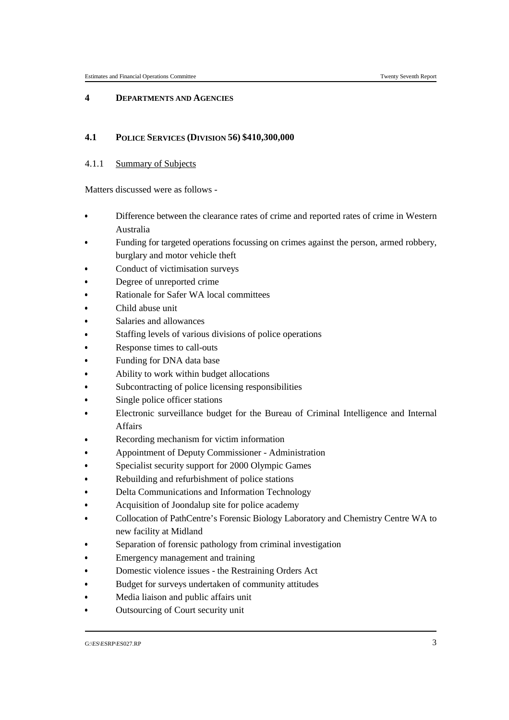#### **4 DEPARTMENTS AND AGENCIES**

## **4.1 POLICE SERVICES (DIVISION 56) \$410,300,000**

## 4.1.1 Summary of Subjects

- Difference between the clearance rates of crime and reported rates of crime in Western Australia
- Funding for targeted operations focussing on crimes against the person, armed robbery, burglary and motor vehicle theft
- Conduct of victimisation surveys &
- Degree of unreported crime
- Rationale for Safer WA local committees &
- Child abuse unit
- Salaries and allowances &
- Staffing levels of various divisions of police operations
- Response times to call-outs &
- Funding for DNA data base
- Ability to work within budget allocations
- &Subcontracting of police licensing responsibilities
- Single police officer stations &
- Electronic surveillance budget for the Bureau of Criminal Intelligence and Internal Affairs
- Recording mechanism for victim information
- Appointment of Deputy Commissioner Administration &
- Specialist security support for 2000 Olympic Games
- Rebuilding and refurbishment of police stations Ĭ,
- Delta Communications and Information Technology &
- Acquisition of Joondalup site for police academy &
- Collocation of PathCentre's Forensic Biology Laboratory and Chemistry Centre WA to new facility at Midland
- Separation of forensic pathology from criminal investigation &
- Emergency management and training &
- Domestic violence issues the Restraining Orders Act &
- Budget for surveys undertaken of community attitudes
- & Media liaison and public affairs unit &
- Outsourcing of Court security unit

G:\ES\ESRP\ES027.RP 3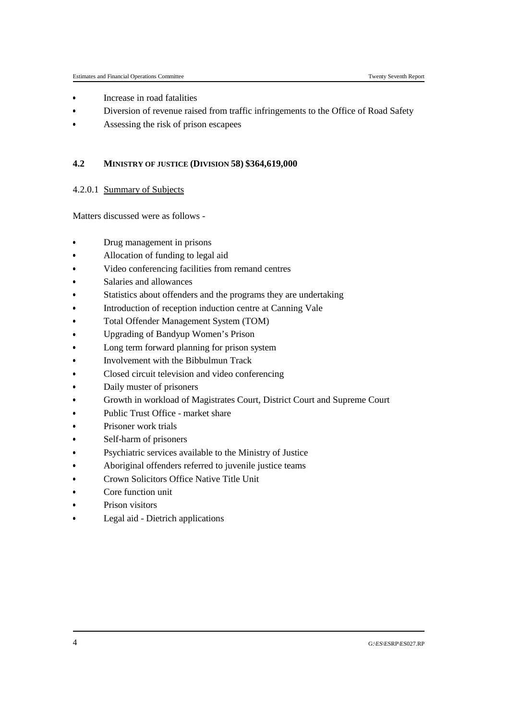- Increase in road fatalities &
- Diversion of revenue raised from traffic infringements to the Office of Road Safety &
- Assessing the risk of prison escapees

## **4.2 MINISTRY OF JUSTICE (DIVISION 58) \$364,619,000**

## 4.2.0.1 Summary of Subjects

- Drug management in prisons
- &Allocation of funding to legal aid
- Video conferencing facilities from remand centres &
- Salaries and allowances
- Statistics about offenders and the programs they are undertaking &
- Introduction of reception induction centre at Canning Vale
- Total Offender Management System (TOM)
- &Upgrading of Bandyup Women's Prison
- Long term forward planning for prison system
- &Involvement with the Bibbulmun Track
- Closed circuit television and video conferencing
- &Daily muster of prisoners
- Growth in workload of Magistrates Court, District Court and Supreme Court &
- Public Trust Office market share
- Prisoner work trials &
- Self-harm of prisoners
- Psychiatric services available to the Ministry of Justice Ĭ,
- Aboriginal offenders referred to juvenile justice teams &
- Crown Solicitors Office Native Title Unit &
- Core function unit &
- Prison visitors &
- Legal aid Dietrich applications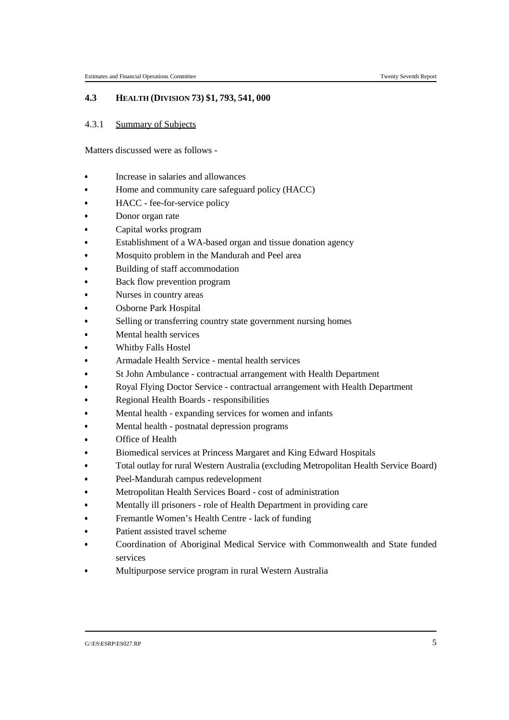## **4.3 HEALTH (DIVISION 73) \$1, 793, 541, 000**

#### 4.3.1 Summary of Subjects

- Increase in salaries and allowances
- Home and community care safeguard policy (HACC) &
- HACC fee-for-service policy
- Donor organ rate &
- Capital works program
- Establishment of a WA-based organ and tissue donation agency &
- Mosquito problem in the Mandurah and Peel area
- Building of staff accommodation &
- Back flow prevention program
- Nurses in country areas
- &Osborne Park Hospital
- Selling or transferring country state government nursing homes &
- Mental health services
- Whitby Falls Hostel &
- Armadale Health Service mental health services
- St John Ambulance contractual arrangement with Health Department &
- Royal Flying Doctor Service contractual arrangement with Health Department
- Regional Health Boards responsibilities &
- Mental health expanding services for women and infants
- Mental health postnatal depression programs &
- Office of Health
- Biomedical services at Princess Margaret and King Edward Hospitals &
- Total outlay for rural Western Australia (excluding Metropolitan Health Service Board)
- Peel-Mandurah campus redevelopment &
- Metropolitan Health Services Board cost of administration
- Mentally ill prisoners role of Health Department in providing care Ĭ,
- Fremantle Women's Health Centre lack of funding &
- Patient assisted travel scheme &
- Coordination of Aboriginal Medical Service with Commonwealth and State funded services
- Multipurpose service program in rural Western Australia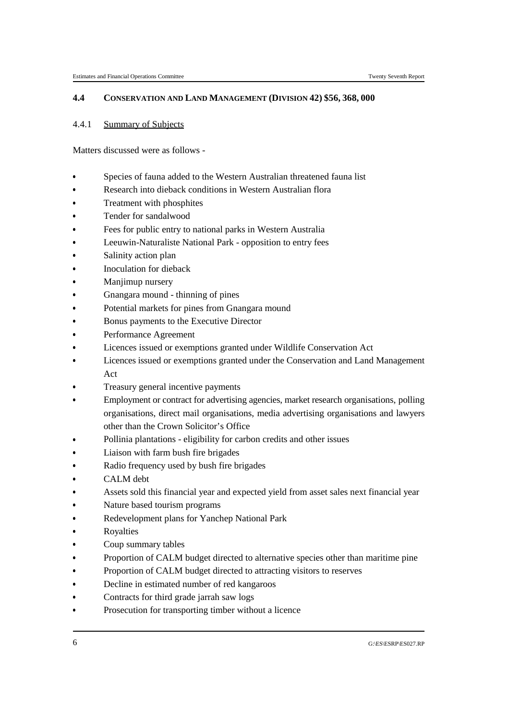## **4.4 CONSERVATION AND LAND MANAGEMENT (DIVISION 42) \$56, 368, 000**

### 4.4.1 Summary of Subjects

- Species of fauna added to the Western Australian threatened fauna list
- & Research into dieback conditions in Western Australian flora &
- Treatment with phosphites
- Tender for sandalwood &
- Fees for public entry to national parks in Western Australia
- Leeuwin-Naturaliste National Park opposition to entry fees &
- Salinity action plan
- Inoculation for dieback &
- Manjimup nursery
- Gnangara mound thinning of pines &
- Potential markets for pines from Gnangara mound
- Bonus payments to the Executive Director &
- Performance Agreement
- Licences issued or exemptions granted under Wildlife Conservation Act &
- Licences issued or exemptions granted under the Conservation and Land Management Act
- Treasury general incentive payments
- Employment or contract for advertising agencies, market research organisations, polling organisations, direct mail organisations, media advertising organisations and lawyers other than the Crown Solicitor's Office
- Pollinia plantations eligibility for carbon credits and other issues
- Liaison with farm bush fire brigades &
- Radio frequency used by bush fire brigades
- CALM debt &
- Assets sold this financial year and expected yield from asset sales next financial year
- Nature based tourism programs Ĭ,
- Redevelopment plans for Yanchep National Park
- & Royalties &
- Coup summary tables &
- Proportion of CALM budget directed to alternative species other than maritime pine &
- Proportion of CALM budget directed to attracting visitors to reserves &
- Decline in estimated number of red kangaroos &
- Contracts for third grade jarrah saw logs &
- Prosecution for transporting timber without a licence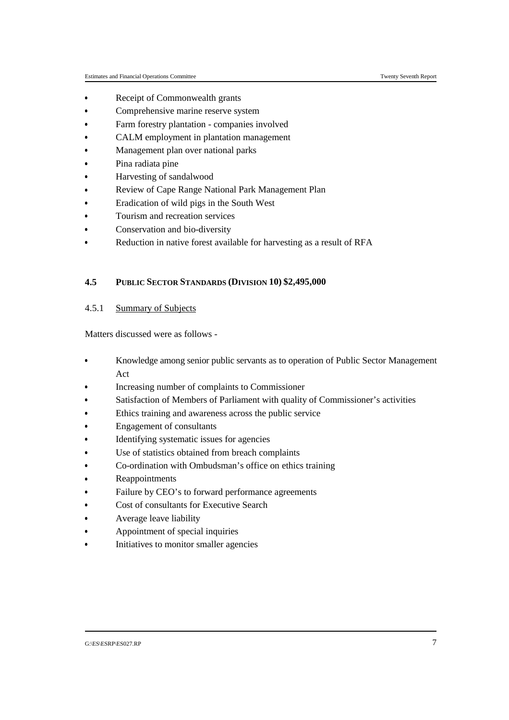- Receipt of Commonwealth grants &
- Comprehensive marine reserve system &
- Farm forestry plantation companies involved &
- CALM employment in plantation management &
- Management plan over national parks &
- Pina radiata pine &
- Harvesting of sandalwood
- Review of Cape Range National Park Management Plan &
- Eradication of wild pigs in the South West
- Tourism and recreation services
- &Conservation and bio-diversity
- Reduction in native forest available for harvesting as a result of RFA

### **4.5 PUBLIC SECTOR STANDARDS (DIVISION 10) \$2,495,000**

## 4.5.1 Summary of Subjects

- Knowledge among senior public servants as to operation of Public Sector Management Act
- Increasing number of complaints to Commissioner &
- Satisfaction of Members of Parliament with quality of Commissioner's activities &
- Ethics training and awareness across the public service &
- Engagement of consultants
- & Identifying systematic issues for agencies &
- Use of statistics obtained from breach complaints
- & Co-ordination with Ombudsman's office on ethics training &
- Reappointments &
- Failure by CEO's to forward performance agreements &
- Cost of consultants for Executive Search &
- Average leave liability &
- Appointment of special inquiries &
- Initiatives to monitor smaller agencies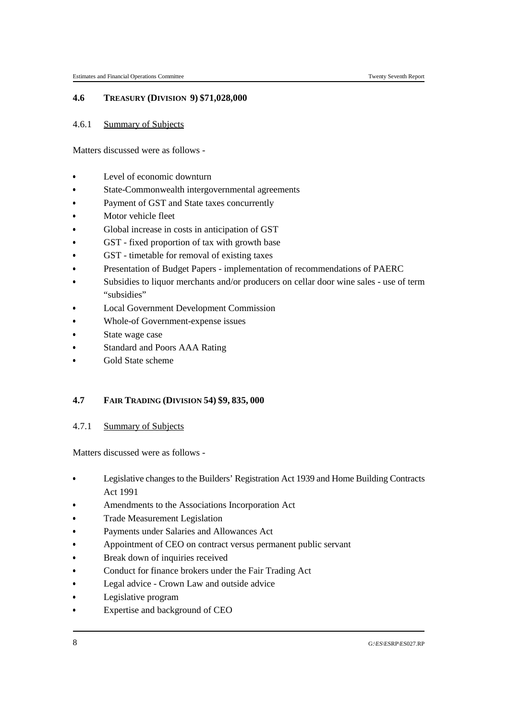## **4.6 TREASURY (DIVISION 9) \$71,028,000**

## 4.6.1 Summary of Subjects

Matters discussed were as follows -

- Level of economic downturn
- & State-Commonwealth intergovernmental agreements &
- Payment of GST and State taxes concurrently
- Motor vehicle fleet &
- Global increase in costs in anticipation of GST
- GST fixed proportion of tax with growth base &
- GST timetable for removal of existing taxes
- Presentation of Budget Papers implementation of recommendations of PAERC &
- Subsidies to liquor merchants and/or producers on cellar door wine sales use of term "subsidies"
- Local Government Development Commission
- Whole-of Government-expense issues &
- State wage case
- Standard and Poors AAA Rating &
- Gold State scheme

## **4.7 FAIR TRADING (DIVISION 54) \$9, 835, 000**

## 4.7.1 Summary of Subjects

- Legislative changes to the Builders' Registration Act 1939 and Home Building Contracts Act 1991
- Amendments to the Associations Incorporation Act &
- Trade Measurement Legislation &
- Payments under Salaries and Allowances Act &
- Appointment of CEO on contract versus permanent public servant &
- Break down of inquiries received &
- Conduct for finance brokers under the Fair Trading Act &
- Legal advice Crown Law and outside advice &
- Legislative program &
- Expertise and background of CEO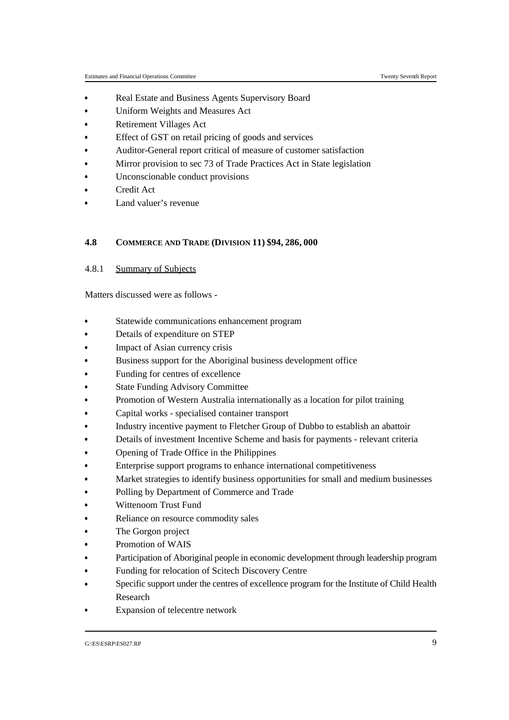- Real Estate and Business Agents Supervisory Board &
- Uniform Weights and Measures Act &
- Retirement Villages Act &
- Effect of GST on retail pricing of goods and services &
- Auditor-General report critical of measure of customer satisfaction &
- Mirror provision to sec 73 of Trade Practices Act in State legislation &
- Unconscionable conduct provisions
- Credit Act &
- Land valuer's revenue

#### **4.8 COMMERCE AND TRADE (DIVISION 11) \$94, 286, 000**

4.8.1 Summary of Subjects

- Statewide communications enhancement program &
- Details of expenditure on STEP
- Impact of Asian currency crisis &
- Business support for the Aboriginal business development office
- Funding for centres of excellence
- &State Funding Advisory Committee
- Promotion of Western Australia internationally as a location for pilot training Ĭ,
- Capital works specialised container transport &
- Industry incentive payment to Fletcher Group of Dubbo to establish an abattoir &
- Details of investment Incentive Scheme and basis for payments relevant criteria &
- Opening of Trade Office in the Philippines &
- Enterprise support programs to enhance international competitiveness &
- Market strategies to identify business opportunities for small and medium businesses &
- Polling by Department of Commerce and Trade &
- Wittenoom Trust Fund &
- Reliance on resource commodity sales &
- The Gorgon project &
- Promotion of WAIS &
- Participation of Aboriginal people in economic development through leadership program &
- Funding for relocation of Scitech Discovery Centre &
- Specific support under the centres of excellence program for the Institute of Child Health Research
- Expansion of telecentre network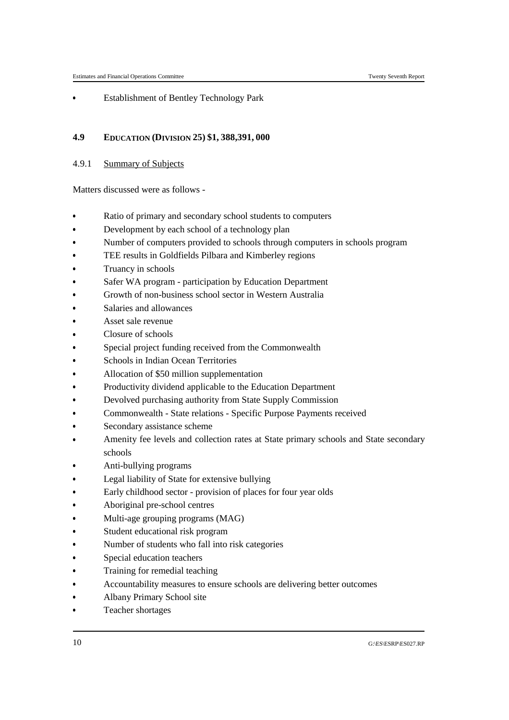Establishment of Bentley Technology Park

## **4.9 EDUCATION (DIVISION 25) \$1, 388,391, 000**

4.9.1 Summary of Subjects

- Ratio of primary and secondary school students to computers &
- Development by each school of a technology plan
- Number of computers provided to schools through computers in schools program
- &TEE results in Goldfields Pilbara and Kimberley regions
- Truancy in schools
- &Safer WA program - participation by Education Department
- Growth of non-business school sector in Western Australia
- &Salaries and allowances
- Asset sale revenue
- &Closure of schools
- Special project funding received from the Commonwealth
- &Schools in Indian Ocean Territories
- Allocation of \$50 million supplementation
- &Productivity dividend applicable to the Education Department
- Devolved purchasing authority from State Supply Commission
- &Commonwealth - State relations - Specific Purpose Payments received
- Secondary assistance scheme &
- Amenity fee levels and collection rates at State primary schools and State secondary schools
- Anti-bullying programs
- Legal liability of State for extensive bullying Ĭ,
- Early childhood sector provision of places for four year olds &
- Aboriginal pre-school centres &
- Multi-age grouping programs (MAG) &
- Student educational risk program
- &Number of students who fall into risk categories
- &Special education teachers
- & Training for remedial teaching &
- Accountability measures to ensure schools are delivering better outcomes &
- Albany Primary School site &
- Teacher shortages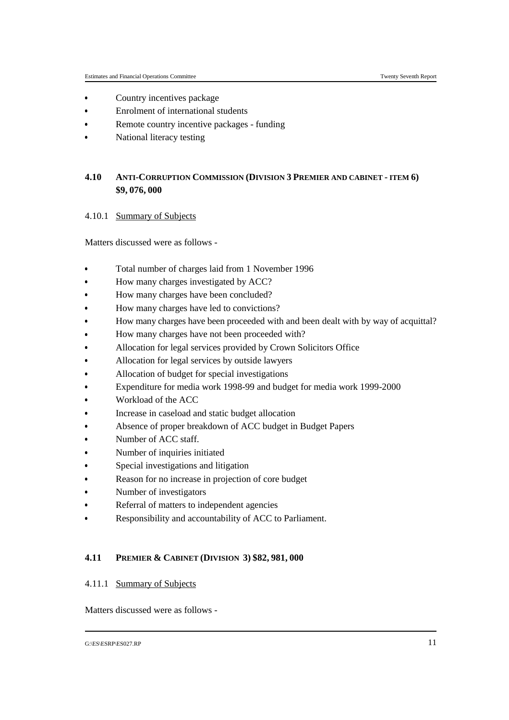- Country incentives package &
- Enrolment of international students &
- Remote country incentive packages funding &
- National literacy testing

## **4.10 ANTI-CORRUPTION COMMISSION (DIVISION 3 PREMIER AND CABINET - ITEM 6) \$9, 076, 000**

4.10.1 Summary of Subjects

Matters discussed were as follows -

- Total number of charges laid from 1 November 1996 &
- How many charges investigated by ACC?
- How many charges have been concluded? &
- How many charges have led to convictions?
- How many charges have been proceeded with and been dealt with by way of acquittal? &
- How many charges have not been proceeded with?
- Allocation for legal services provided by Crown Solicitors Office &
- Allocation for legal services by outside lawyers
- Allocation of budget for special investigations &
- Expenditure for media work 1998-99 and budget for media work 1999-2000
- Workload of the ACC &
- Increase in caseload and static budget allocation
- Absence of proper breakdown of ACC budget in Budget Papers &
- Number of ACC staff. Ĭ,
- Number of inquiries initiated &
- Special investigations and litigation &
- Reason for no increase in projection of core budget &
- Number of investigators &
- Referral of matters to independent agencies &
- Responsibility and accountability of ACC to Parliament.

## **4.11 PREMIER & CABINET (DIVISION 3) \$82, 981, 000**

#### 4.11.1 Summary of Subjects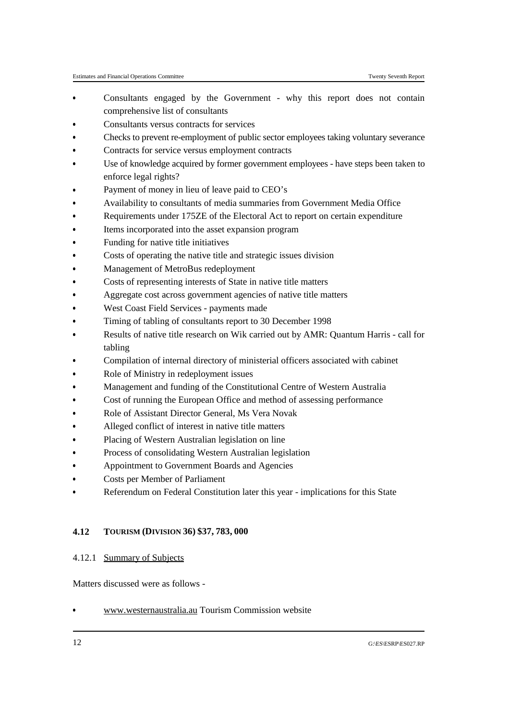- Consultants engaged by the Government why this report does not contain comprehensive list of consultants
- Consultants versus contracts for services &
- Checks to prevent re-employment of public sector employees taking voluntary severance &
- Contracts for service versus employment contracts &
- Use of knowledge acquired by former government employees have steps been taken to enforce legal rights?
- Payment of money in lieu of leave paid to CEO's &
- Availability to consultants of media summaries from Government Media Office
- Requirements under 175ZE of the Electoral Act to report on certain expenditure &
- Items incorporated into the asset expansion program
- Funding for native title initiatives &
- Costs of operating the native title and strategic issues division
- Management of MetroBus redeployment &
- Costs of representing interests of State in native title matters
- Aggregate cost across government agencies of native title matters &
- West Coast Field Services payments made
- Timing of tabling of consultants report to 30 December 1998 &
- Results of native title research on Wik carried out by AMR: Quantum Harris call for tabling
- Compilation of internal directory of ministerial officers associated with cabinet
- Role of Ministry in redeployment issues &
- Management and funding of the Constitutional Centre of Western Australia
- Cost of running the European Office and method of assessing performance
- &Role of Assistant Director General, Ms Vera Novak
- Alleged conflict of interest in native title matters &
- Placing of Western Australian legislation on line
- Process of consolidating Western Australian legislation &
- Appointment to Government Boards and Agencies
- Costs per Member of Parliament &
- Referendum on Federal Constitution later this year implications for this State

## **4.12 TOURISM (DIVISION 36) \$37, 783, 000**

## 4.12.1 Summary of Subjects

Matters discussed were as follows -

www.westernaustralia.au Tourism Commission website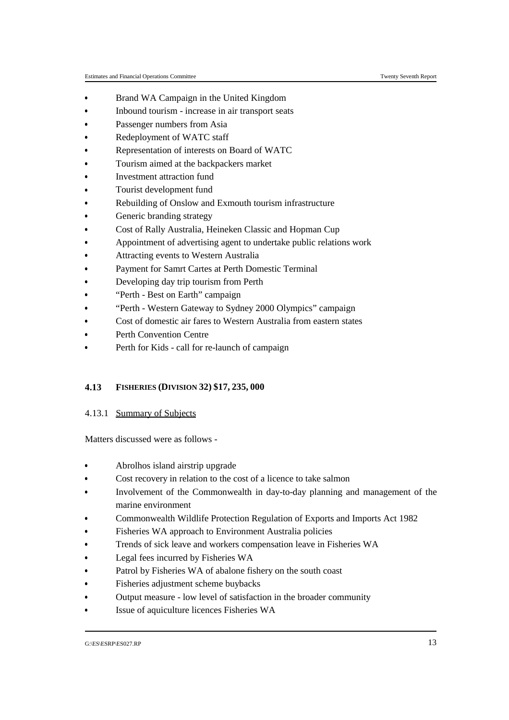- Brand WA Campaign in the United Kingdom &
- Inbound tourism increase in air transport seats &
- Passenger numbers from Asia &
- Redeployment of WATC staff &
- Representation of interests on Board of WATC
- &Tourism aimed at the backpackers market
- &Investment attraction fund
- Tourist development fund &
- Rebuilding of Onslow and Exmouth tourism infrastructure
- Generic branding strategy &
- Cost of Rally Australia, Heineken Classic and Hopman Cup
- Appointment of advertising agent to undertake public relations work
- &Attracting events to Western Australia
- Payment for Samrt Cartes at Perth Domestic Terminal &
- Developing day trip tourism from Perth
- "Perth Best on Earth" campaign
- &"Perth - Western Gateway to Sydney 2000 Olympics" campaign
- Cost of domestic air fares to Western Australia from eastern states &
- Perth Convention Centre
- Perth for Kids call for re-launch of campaign

## **4.13 FISHERIES (DIVISION 32) \$17, 235, 000**

4.13.1 Summary of Subjects

- Abrolhos island airstrip upgrade &
- Cost recovery in relation to the cost of a licence to take salmon &
- Involvement of the Commonwealth in day-to-day planning and management of the marine environment
- Commonwealth Wildlife Protection Regulation of Exports and Imports Act 1982 &
- Fisheries WA approach to Environment Australia policies &
- Trends of sick leave and workers compensation leave in Fisheries WA &
- Legal fees incurred by Fisheries WA &
- Patrol by Fisheries WA of abalone fishery on the south coast &
- Fisheries adjustment scheme buybacks &
- Output measure low level of satisfaction in the broader community &
- Issue of aquiculture licences Fisheries WA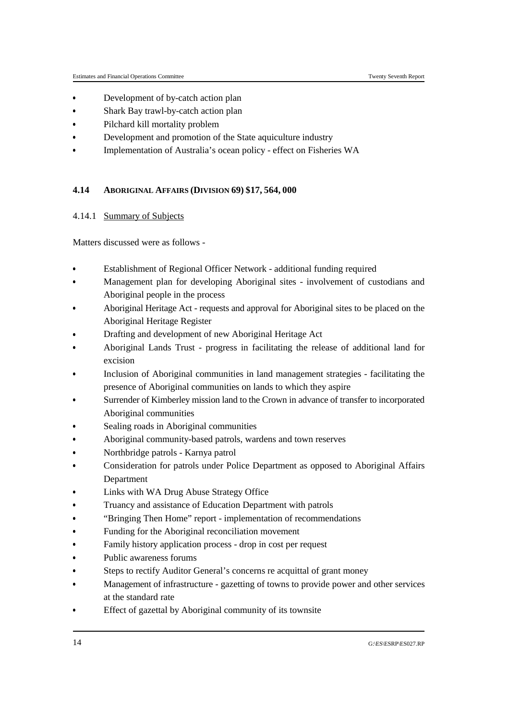- Development of by-catch action plan &
- Shark Bay trawl-by-catch action plan &
- Pilchard kill mortality problem &
- Development and promotion of the State aquiculture industry &
- Implementation of Australia's ocean policy effect on Fisheries WA

## **4.14 ABORIGINAL AFFAIRS (DIVISION 69) \$17, 564, 000**

## 4.14.1 Summary of Subjects

- Establishment of Regional Officer Network additional funding required
- & Management plan for developing Aboriginal sites - involvement of custodians and Aboriginal people in the process
- Aboriginal Heritage Act requests and approval for Aboriginal sites to be placed on the Aboriginal Heritage Register
- Drafting and development of new Aboriginal Heritage Act
- Aboriginal Lands Trust progress in facilitating the release of additional land for excision
- Inclusion of Aboriginal communities in land management strategies facilitating the presence of Aboriginal communities on lands to which they aspire
- Surrender of Kimberley mission land to the Crown in advance of transfer to incorporated Aboriginal communities
- Sealing roads in Aboriginal communities
- &Aboriginal community-based patrols, wardens and town reserves
- Ĭ, Northbridge patrols - Karnya patrol &
- Consideration for patrols under Police Department as opposed to Aboriginal Affairs Department
- Links with WA Drug Abuse Strategy Office &
- Truancy and assistance of Education Department with patrols &
- "Bringing Then Home" report implementation of recommendations &
- Funding for the Aboriginal reconciliation movement &
- Family history application process drop in cost per request &
- Public awareness forums &
- Steps to rectify Auditor General's concerns re acquittal of grant money &
- Management of infrastructure gazetting of towns to provide power and other services at the standard rate
- Effect of gazettal by Aboriginal community of its townsite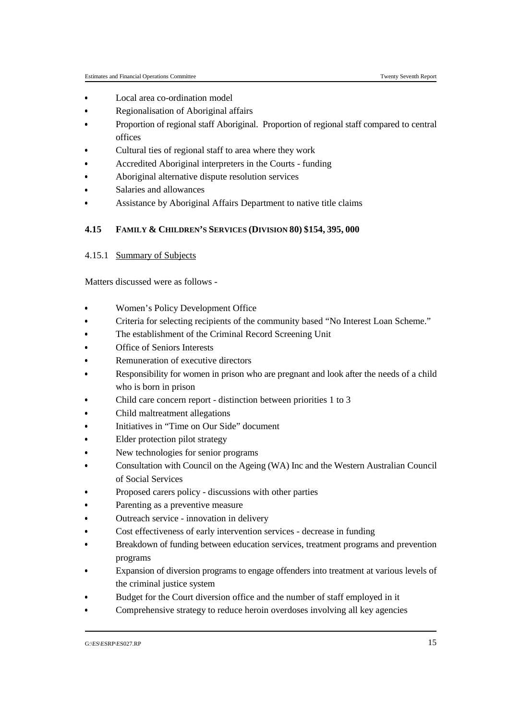- Local area co-ordination model &
- Regionalisation of Aboriginal affairs &
- Proportion of regional staff Aboriginal. Proportion of regional staff compared to central offices
- Cultural ties of regional staff to area where they work &
- Accredited Aboriginal interpreters in the Courts funding &
- Aboriginal alternative dispute resolution services
- Salaries and allowances &
- Assistance by Aboriginal Affairs Department to native title claims

## **4.15 FAMILY & CHILDREN'S SERVICES (DIVISION 80) \$154, 395, 000**

## 4.15.1 Summary of Subjects

- Women's Policy Development Office
- Criteria for selecting recipients of the community based "No Interest Loan Scheme." &
- The establishment of the Criminal Record Screening Unit
- Office of Seniors Interests &
- Remuneration of executive directors
- Responsibility for women in prison who are pregnant and look after the needs of a child who is born in prison
- Child care concern report distinction between priorities 1 to 3 Ĭ,
- Child maltreatment allegations &
- Initiatives in "Time on Our Side" document &
- Elder protection pilot strategy &
- New technologies for senior programs &
- Consultation with Council on the Ageing (WA) Inc and the Western Australian Council of Social Services
- Proposed carers policy discussions with other parties &
- Parenting as a preventive measure &
- Outreach service innovation in delivery &
- Cost effectiveness of early intervention services decrease in funding &
- Breakdown of funding between education services, treatment programs and prevention programs
- Expansion of diversion programs to engage offenders into treatment at various levels of the criminal justice system
- Budget for the Court diversion office and the number of staff employed in it &
- Comprehensive strategy to reduce heroin overdoses involving all key agencies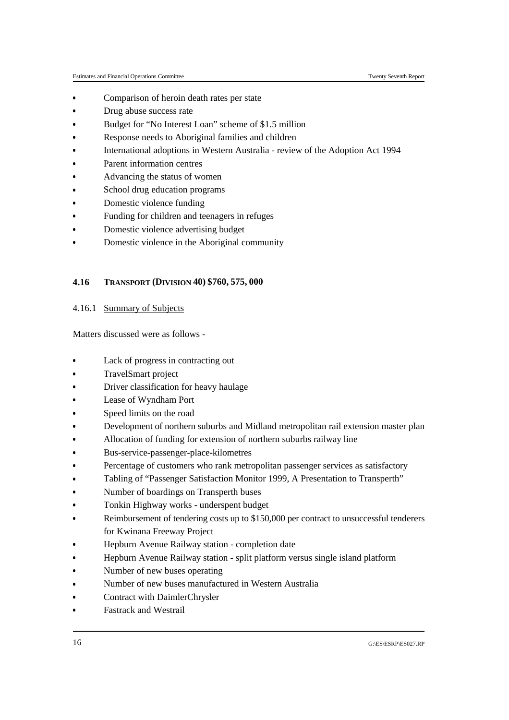- Comparison of heroin death rates per state &
- Drug abuse success rate &
- Budget for "No Interest Loan" scheme of \$1.5 million &
- Response needs to Aboriginal families and children &
- International adoptions in Western Australia review of the Adoption Act 1994 &
- Parent information centres &
- Advancing the status of women
- School drug education programs &
- Domestic violence funding
- Funding for children and teenagers in refuges &
- Domestic violence advertising budget
- Domestic violence in the Aboriginal community

### **4.16 TRANSPORT (DIVISION 40) \$760, 575, 000**

## 4.16.1 Summary of Subjects

- & Lack of progress in contracting out Ĭ,
- TravelSmart project &
- Driver classification for heavy haulage &
- Lease of Wyndham Port &
- Speed limits on the road &
- Development of northern suburbs and Midland metropolitan rail extension master plan &
- Allocation of funding for extension of northern suburbs railway line &
- Bus-service-passenger-place-kilometres &
- Percentage of customers who rank metropolitan passenger services as satisfactory &
- Tabling of "Passenger Satisfaction Monitor 1999, A Presentation to Transperth" &
- Number of boardings on Transperth buses &
- Tonkin Highway works underspent budget &
- Reimbursement of tendering costs up to \$150,000 per contract to unsuccessful tenderers for Kwinana Freeway Project
- Hepburn Avenue Railway station completion date &
- Hepburn Avenue Railway station split platform versus single island platform &
- Number of new buses operating &
- Number of new buses manufactured in Western Australia &
- Contract with DaimlerChrysler &
- Fastrack and Westrail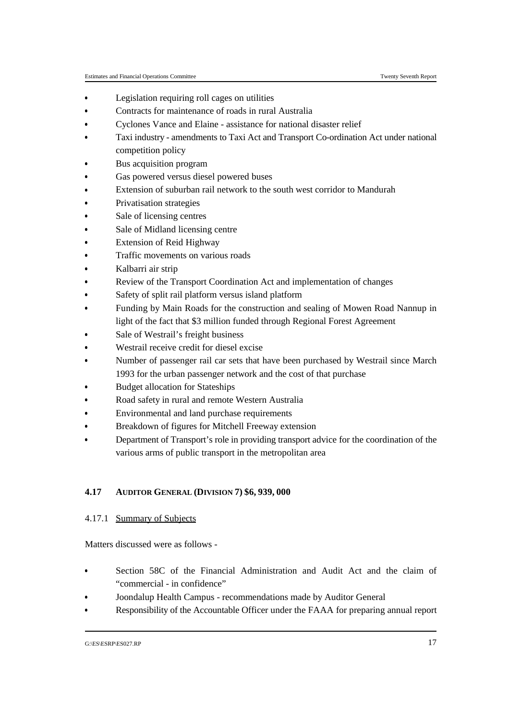- Legislation requiring roll cages on utilities &
- Contracts for maintenance of roads in rural Australia &
- Cyclones Vance and Elaine assistance for national disaster relief &
- Taxi industry amendments to Taxi Act and Transport Co-ordination Act under national competition policy
- Bus acquisition program &
- Gas powered versus diesel powered buses
- Extension of suburban rail network to the south west corridor to Mandurah &
- Privatisation strategies
- Sale of licensing centres &
- Sale of Midland licensing centre
- Extension of Reid Highway &
- Traffic movements on various roads
- Kalbarri air strip &
- Review of the Transport Coordination Act and implementation of changes
- Safety of split rail platform versus island platform &
- Funding by Main Roads for the construction and sealing of Mowen Road Nannup in light of the fact that \$3 million funded through Regional Forest Agreement
- Sale of Westrail's freight business
- Westrail receive credit for diesel excise &
- Number of passenger rail car sets that have been purchased by Westrail since March 1993 for the urban passenger network and the cost of that purchase
- Budget allocation for Stateships
- Road safety in rural and remote Western Australia &
- Environmental and land purchase requirements
- Breakdown of figures for Mitchell Freeway extension &
- Department of Transport's role in providing transport advice for the coordination of the various arms of public transport in the metropolitan area

## **4.17 AUDITOR GENERAL (DIVISION 7) \$6, 939, 000**

## 4.17.1 Summary of Subjects

- Section 58C of the Financial Administration and Audit Act and the claim of "commercial - in confidence"
- Joondalup Health Campus recommendations made by Auditor General &
- Responsibility of the Accountable Officer under the FAAA for preparing annual report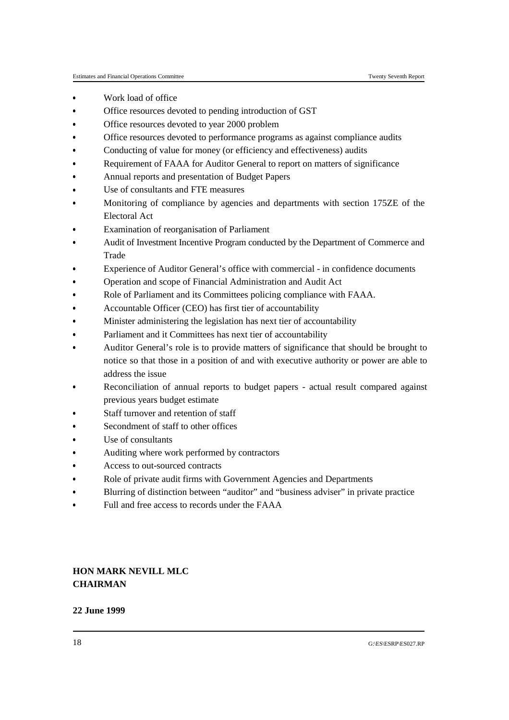- Work load of office &
- Office resources devoted to pending introduction of GST &
- Office resources devoted to year 2000 problem &
- Office resources devoted to performance programs as against compliance audits &
- Conducting of value for money (or efficiency and effectiveness) audits &
- Requirement of FAAA for Auditor General to report on matters of significance &
- Annual reports and presentation of Budget Papers
- Use of consultants and FTE measures &
- Monitoring of compliance by agencies and departments with section 175ZE of the Electoral Act
- Examination of reorganisation of Parliament
- Audit of Investment Incentive Program conducted by the Department of Commerce and Trade
- Experience of Auditor General's office with commercial in confidence documents
- &Operation and scope of Financial Administration and Audit Act
- Role of Parliament and its Committees policing compliance with FAAA. &
- Accountable Officer (CEO) has first tier of accountability
- Minister administering the legislation has next tier of accountability &
- Parliament and it Committees has next tier of accountability
- Auditor General's role is to provide matters of significance that should be brought to notice so that those in a position of and with executive authority or power are able to address the issue
- Reconciliation of annual reports to budget papers actual result compared against previous years budget estimate
- Staff turnover and retention of staff
- Secondment of staff to other offices
- &Use of consultants
- Auditing where work performed by contractors &
- Access to out-sourced contracts
- Role of private audit firms with Government Agencies and Departments &
- Blurring of distinction between "auditor" and "business adviser" in private practice
- Full and free access to records under the FAAA

## **HON MARK NEVILL MLC CHAIRMAN**

## **22 June 1999**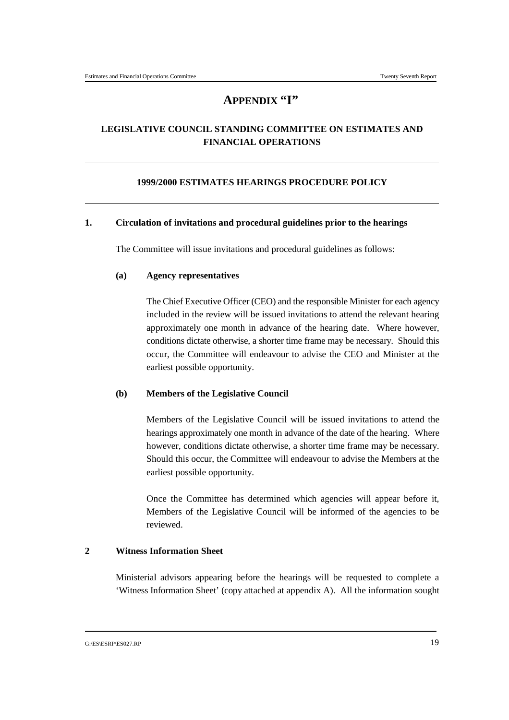# **APPENDIX "I"**

# **LEGISLATIVE COUNCIL STANDING COMMITTEE ON ESTIMATES AND FINANCIAL OPERATIONS**

## **1999/2000 ESTIMATES HEARINGS PROCEDURE POLICY**

## **1. Circulation of invitations and procedural guidelines prior to the hearings**

The Committee will issue invitations and procedural guidelines as follows:

### **(a) Agency representatives**

The Chief Executive Officer (CEO) and the responsible Minister for each agency included in the review will be issued invitations to attend the relevant hearing approximately one month in advance of the hearing date. Where however, conditions dictate otherwise, a shorter time frame may be necessary. Should this occur, the Committee will endeavour to advise the CEO and Minister at the earliest possible opportunity.

#### **(b) Members of the Legislative Council**

Members of the Legislative Council will be issued invitations to attend the hearings approximately one month in advance of the date of the hearing. Where however, conditions dictate otherwise, a shorter time frame may be necessary. Should this occur, the Committee will endeavour to advise the Members at the earliest possible opportunity.

Once the Committee has determined which agencies will appear before it, Members of the Legislative Council will be informed of the agencies to be reviewed.

## **2 Witness Information Sheet**

Ministerial advisors appearing before the hearings will be requested to complete a 'Witness Information Sheet' (copy attached at appendix A). All the information sought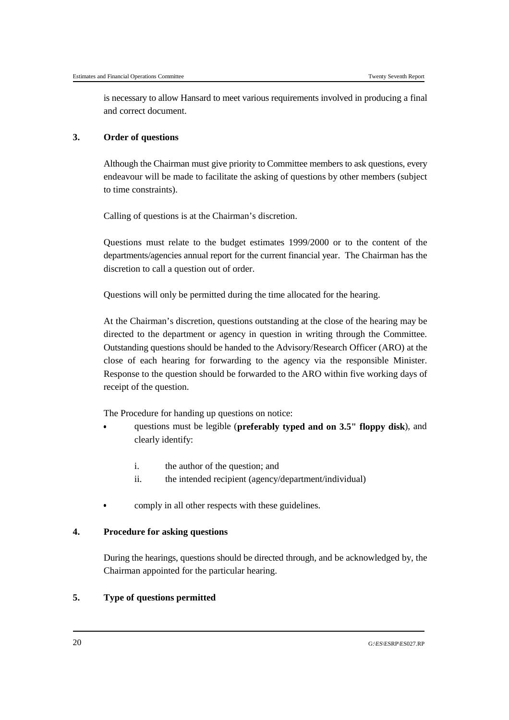is necessary to allow Hansard to meet various requirements involved in producing a final and correct document.

## **3. Order of questions**

Although the Chairman must give priority to Committee members to ask questions, every endeavour will be made to facilitate the asking of questions by other members (subject to time constraints).

Calling of questions is at the Chairman's discretion.

Questions must relate to the budget estimates 1999/2000 or to the content of the departments/agencies annual report for the current financial year. The Chairman has the discretion to call a question out of order.

Questions will only be permitted during the time allocated for the hearing.

At the Chairman's discretion, questions outstanding at the close of the hearing may be directed to the department or agency in question in writing through the Committee. Outstanding questions should be handed to the Advisory/Research Officer (ARO) at the close of each hearing for forwarding to the agency via the responsible Minister. Response to the question should be forwarded to the ARO within five working days of receipt of the question.

The Procedure for handing up questions on notice:

- questions must be legible (**preferably typed and on 3.5" floppy disk**), and clearly identify:
	- i. the author of the question; and
	- ii. the intended recipient (agency/department/individual)
- comply in all other respects with these guidelines.

## **4. Procedure for asking questions**

During the hearings, questions should be directed through, and be acknowledged by, the Chairman appointed for the particular hearing.

## **5. Type of questions permitted**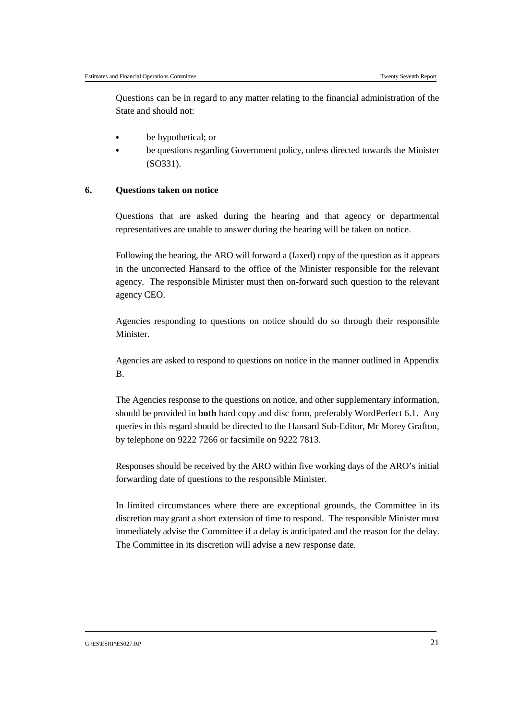Questions can be in regard to any matter relating to the financial administration of the State and should not:

- be hypothetical; or &
- be questions regarding Government policy, unless directed towards the Minister (SO331).

### **6. Questions taken on notice**

Questions that are asked during the hearing and that agency or departmental representatives are unable to answer during the hearing will be taken on notice.

Following the hearing, the ARO will forward a (faxed) copy of the question as it appears in the uncorrected Hansard to the office of the Minister responsible for the relevant agency. The responsible Minister must then on-forward such question to the relevant agency CEO.

Agencies responding to questions on notice should do so through their responsible **Minister** 

Agencies are asked to respond to questions on notice in the manner outlined in Appendix B.

The Agencies response to the questions on notice, and other supplementary information, should be provided in **both** hard copy and disc form, preferably WordPerfect 6.1. Any queries in this regard should be directed to the Hansard Sub-Editor, Mr Morey Grafton, by telephone on 9222 7266 or facsimile on 9222 7813.

Responses should be received by the ARO within five working days of the ARO's initial forwarding date of questions to the responsible Minister.

In limited circumstances where there are exceptional grounds, the Committee in its discretion may grant a short extension of time to respond. The responsible Minister must immediately advise the Committee if a delay is anticipated and the reason for the delay. The Committee in its discretion will advise a new response date.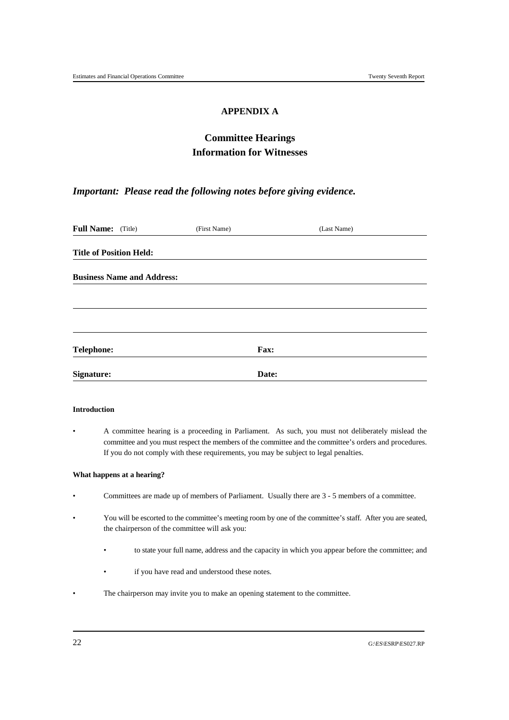## **APPENDIX A**

# **Committee Hearings Information for Witnesses**

## *Important: Please read the following notes before giving evidence.*

| Full Name: (Title)             |                                   | (First Name) |       | (Last Name) |
|--------------------------------|-----------------------------------|--------------|-------|-------------|
| <b>Title of Position Held:</b> |                                   |              |       |             |
|                                | <b>Business Name and Address:</b> |              |       |             |
|                                |                                   |              |       |             |
|                                |                                   |              |       |             |
| <b>Telephone:</b>              |                                   |              | Fax:  |             |
| Signature:                     |                                   |              | Date: |             |

#### **Introduction**

• A committee hearing is a proceeding in Parliament. As such, you must not deliberately mislead the committee and you must respect the members of the committee and the committee's orders and procedures. If you do not comply with these requirements, you may be subject to legal penalties.

#### **What happens at a hearing?**

- Committees are made up of members of Parliament. Usually there are 3 5 members of a committee.
- You will be escorted to the committee's meeting room by one of the committee's staff. After you are seated, the chairperson of the committee will ask you:
	- to state your full name, address and the capacity in which you appear before the committee; and
	- if you have read and understood these notes.
- The chairperson may invite you to make an opening statement to the committee.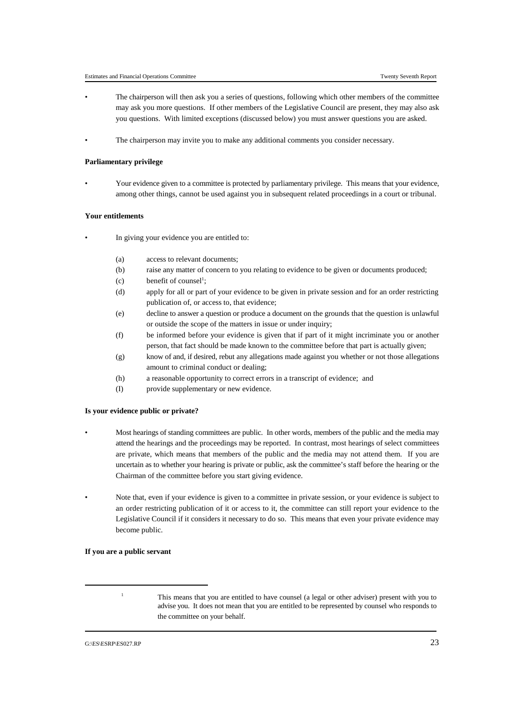- The chairperson will then ask you a series of questions, following which other members of the committee may ask you more questions. If other members of the Legislative Council are present, they may also ask you questions. With limited exceptions (discussed below) you must answer questions you are asked.
- The chairperson may invite you to make any additional comments you consider necessary.

#### **Parliamentary privilege**

• Your evidence given to a committee is protected by parliamentary privilege. This means that your evidence, among other things, cannot be used against you in subsequent related proceedings in a court or tribunal.

#### **Your entitlements**

- In giving your evidence you are entitled to:
	- (a) access to relevant documents;
	- (b) raise any matter of concern to you relating to evidence to be given or documents produced;
	- (c) benefit of counsel<sup>1</sup>;
	- (d) apply for all or part of your evidence to be given in private session and for an order restricting publication of, or access to, that evidence;
	- (e) decline to answer a question or produce a document on the grounds that the question is unlawful or outside the scope of the matters in issue or under inquiry;
	- (f) be informed before your evidence is given that if part of it might incriminate you or another person, that fact should be made known to the committee before that part is actually given;
	- (g) know of and, if desired, rebut any allegations made against you whether or not those allegations amount to criminal conduct or dealing;
	- (h) a reasonable opportunity to correct errors in a transcript of evidence; and
	- (I) provide supplementary or new evidence.

#### **Is your evidence public or private?**

- Most hearings of standing committees are public. In other words, members of the public and the media may attend the hearings and the proceedings may be reported. In contrast, most hearings of select committees are private, which means that members of the public and the media may not attend them. If you are uncertain as to whether your hearing is private or public, ask the committee's staff before the hearing or the Chairman of the committee before you start giving evidence.
- Note that, even if your evidence is given to a committee in private session, or your evidence is subject to an order restricting publication of it or access to it, the committee can still report your evidence to the Legislative Council if it considers it necessary to do so. This means that even your private evidence may become public.

#### **If you are a public servant**

<sup>&</sup>lt;sup>1</sup> This means that you are entitled to have counsel (a legal or other adviser) present with you to advise you. It does not mean that you are entitled to be represented by counsel who responds to the committee on your behalf.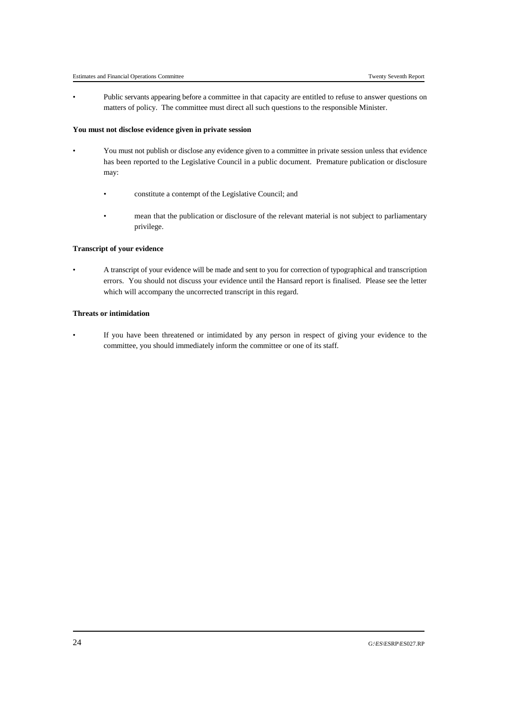• Public servants appearing before a committee in that capacity are entitled to refuse to answer questions on matters of policy. The committee must direct all such questions to the responsible Minister.

#### **You must not disclose evidence given in private session**

- You must not publish or disclose any evidence given to a committee in private session unless that evidence has been reported to the Legislative Council in a public document. Premature publication or disclosure may:
	- constitute a contempt of the Legislative Council; and
	- mean that the publication or disclosure of the relevant material is not subject to parliamentary privilege.

#### **Transcript of your evidence**

• A transcript of your evidence will be made and sent to you for correction of typographical and transcription errors. You should not discuss your evidence until the Hansard report is finalised. Please see the letter which will accompany the uncorrected transcript in this regard.

#### **Threats or intimidation**

• If you have been threatened or intimidated by any person in respect of giving your evidence to the committee, you should immediately inform the committee or one of its staff.